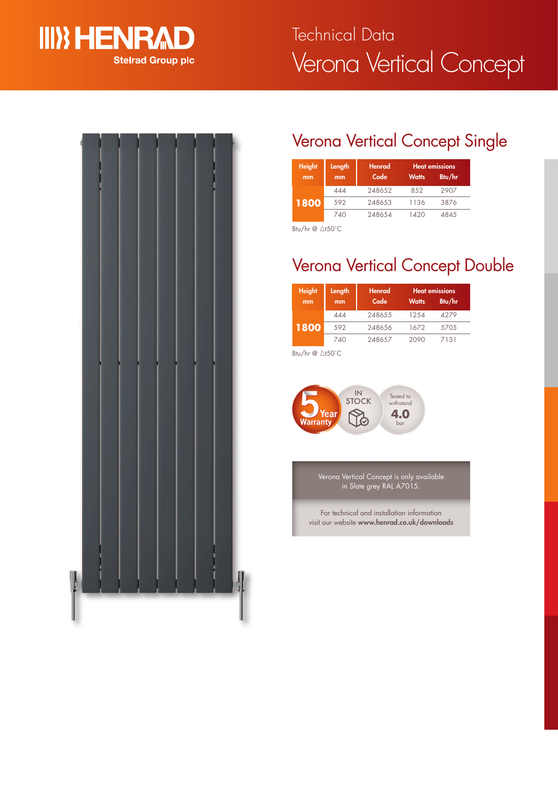

# Verona Vertical Concept Technical Data



## Verona Vertical Concept Single

| <b>Height</b><br>mm | Length<br>mm | <b>Henrad</b><br>Code | <b>Watts</b> | <b>Heat emissions</b><br>Btu/hr |
|---------------------|--------------|-----------------------|--------------|---------------------------------|
| 1800                | 444          | 248652                | 8.52         | 2907                            |
|                     | 592          | 248653                | 1136         | 3876                            |
|                     | 740          | 248654                | 1420         | 4845                            |

Btu/hr  $@ \triangle$ t50°C

## Verona Vertical Concept Double

| <b>Height</b><br>mm | Length<br>mm | <b>Henrad</b><br>Code | <b>Watts</b> | <b>Heat emissions</b><br>Btu/hr |
|---------------------|--------------|-----------------------|--------------|---------------------------------|
| 1800                | 444          | 248655                | 1254         | 4279                            |
|                     | 592          | 248656                | 1672         | 5705                            |
|                     | 740          | 248657                | 2090         | 7131                            |

Btu/hr  $@$   $\triangle$ t50°C



Verona Vertical Concept is only available in Slate grey RAL A7015.

For technical and installation information visit our website **www.henrad.co.uk/downloads**